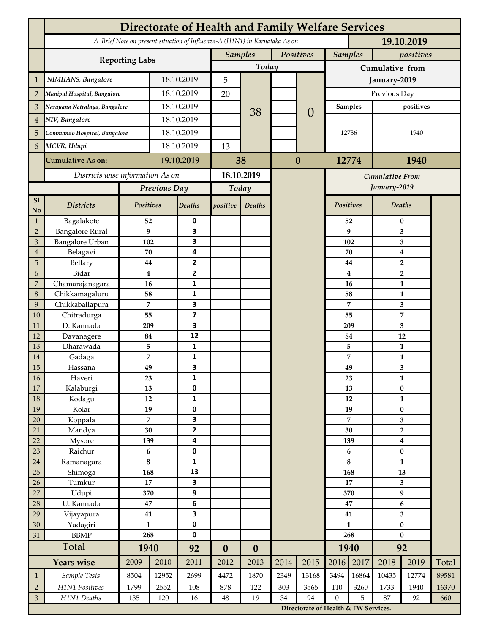|                 | <b>Directorate of Health and Family Welfare Services</b>                                 |                 |            |                         |                  |                  |           |                                        |                  |          |                             |                                  |       |  |
|-----------------|------------------------------------------------------------------------------------------|-----------------|------------|-------------------------|------------------|------------------|-----------|----------------------------------------|------------------|----------|-----------------------------|----------------------------------|-------|--|
|                 | A Brief Note on present situation of Influenza-A (H1N1) in Karnataka As on<br>19.10.2019 |                 |            |                         |                  |                  |           |                                        |                  |          |                             |                                  |       |  |
|                 | <b>Reporting Labs</b>                                                                    |                 |            |                         | <b>Samples</b>   |                  | Positives |                                        | <b>Samples</b>   |          | positives                   |                                  |       |  |
|                 |                                                                                          |                 |            |                         | Today            |                  |           |                                        | Cumulative from  |          |                             |                                  |       |  |
| $\mathbf{1}$    | NIMHANS, Bangalore                                                                       | 18.10.2019      |            | 5                       |                  |                  |           | January-2019                           |                  |          |                             |                                  |       |  |
| $\overline{2}$  | Manipal Hospital, Bangalore                                                              |                 |            | 18.10.2019              |                  |                  |           |                                        | Previous Day     |          |                             |                                  |       |  |
| 3               | Narayana Netralaya, Bangalore                                                            |                 |            | 18.10.2019              |                  |                  |           |                                        | Samples          |          |                             | positives                        |       |  |
| $\overline{4}$  | NIV, Bangalore                                                                           |                 | 18.10.2019 |                         |                  | 38               |           | $\theta$                               | 12736            |          | 1940                        |                                  |       |  |
| 5               | Commando Hospital, Bangalore                                                             |                 | 18.10.2019 |                         |                  |                  |           |                                        |                  |          |                             |                                  |       |  |
| 6               | MCVR, Udupi                                                                              |                 | 18.10.2019 |                         | 13               |                  |           |                                        |                  |          |                             |                                  |       |  |
|                 | <b>Cumulative As on:</b>                                                                 |                 | 19.10.2019 |                         |                  | 38               | $\bf{0}$  |                                        | 12774            |          | 1940                        |                                  |       |  |
|                 | Districts wise information As on                                                         |                 |            | 18.10.2019              |                  |                  |           |                                        |                  |          |                             |                                  |       |  |
|                 |                                                                                          | Previous Day    |            | Today                   |                  |                  |           | <b>Cumulative From</b><br>January-2019 |                  |          |                             |                                  |       |  |
| S1              |                                                                                          |                 |            |                         |                  |                  |           |                                        |                  |          |                             |                                  |       |  |
| No              | <b>Districts</b>                                                                         | Positives       |            | Deaths                  | positive         | Deaths           |           |                                        | Positives        |          |                             | Deaths                           |       |  |
| $\mathbf{1}$    | Bagalakote                                                                               | 52              |            | 0                       |                  |                  |           |                                        |                  | 52       |                             | $\bf{0}$                         |       |  |
| $\overline{2}$  | <b>Bangalore Rural</b>                                                                   | 9               |            | 3                       |                  |                  |           |                                        | 9                | 3        |                             |                                  |       |  |
| 3               | Bangalore Urban                                                                          | 102             |            | 3                       |                  |                  |           |                                        |                  | 102      | 3                           |                                  |       |  |
| $\overline{4}$  | Belagavi                                                                                 | 70              |            | 4                       |                  |                  |           |                                        |                  | 70       |                             | $\boldsymbol{4}$                 |       |  |
| 5<br>6          | Bellary<br>Bidar                                                                         | 44<br>$\bf{4}$  |            | 2<br>$\mathbf{2}$       |                  |                  |           |                                        |                  | 44<br>4  |                             | $\overline{2}$<br>$\overline{2}$ |       |  |
| 7               | Chamarajanagara                                                                          | 16              |            | 1                       |                  |                  |           |                                        |                  | 16       |                             | 1                                |       |  |
| 8               | Chikkamagaluru                                                                           | 58              |            | 1                       |                  |                  |           |                                        |                  | 58       |                             | 1                                |       |  |
| 9               | Chikkaballapura                                                                          | 7               |            | 3                       |                  |                  |           |                                        |                  | 7        |                             | 3                                |       |  |
| 10              | Chitradurga                                                                              | 55              |            | $\overline{\mathbf{z}}$ |                  |                  |           |                                        |                  | 55       |                             | 7                                |       |  |
| 11              | D. Kannada                                                                               | 209             |            | 3                       |                  |                  |           |                                        |                  | 209      |                             | 3                                |       |  |
| 12              | Davanagere                                                                               | 84              |            | 12                      |                  |                  |           |                                        |                  | 84       |                             | 12                               |       |  |
| 13              | Dharawada                                                                                | 5               |            | $\mathbf{1}$            |                  |                  |           |                                        |                  | 5        |                             | $\mathbf{1}$                     |       |  |
| 14              | Gadaga                                                                                   | 7               |            | 1                       |                  |                  |           |                                        |                  | 7        |                             | 1                                |       |  |
| 15              | Hassana                                                                                  | 49              |            | 3                       |                  |                  |           |                                        |                  | 49       |                             | 3                                |       |  |
| <b>16</b><br>17 | Haveri<br>Kalaburgi                                                                      | 23<br>13        |            | 1<br>0                  |                  |                  |           |                                        |                  | 23<br>13 |                             | 1<br>$\pmb{0}$                   |       |  |
| 18              | Kodagu                                                                                   | 12              |            | $\mathbf{1}$            |                  |                  |           |                                        |                  | 12       |                             | $\mathbf{1}$                     |       |  |
| 19              | Kolar                                                                                    | 19              |            | 0                       |                  |                  |           |                                        |                  | 19       |                             | $\pmb{0}$                        |       |  |
| 20              | Koppala                                                                                  | $\overline{7}$  |            | 3                       |                  |                  |           |                                        | 7                |          | 3                           |                                  |       |  |
| 21              | Mandya                                                                                   | $30\,$          |            | $\mathbf{2}$            |                  |                  |           |                                        |                  | 30       |                             | $\mathbf 2$                      |       |  |
| 22              | Mysore                                                                                   | 139             |            | 4                       |                  |                  |           |                                        |                  | 139      | $\boldsymbol{4}$            |                                  |       |  |
| 23              | Raichur                                                                                  | $\bf 6$         |            | $\pmb{0}$               |                  |                  |           |                                        |                  | 6        |                             | $\pmb{0}$                        |       |  |
| $24\,$          | Ramanagara                                                                               | $\bf 8$         |            | 1                       |                  |                  |           |                                        |                  | 8        |                             | $\mathbf{1}$                     |       |  |
| 25              | Shimoga                                                                                  | 168             |            | 13                      |                  |                  |           |                                        | 168<br>17        |          | 13                          |                                  |       |  |
| 26              | Tumkur                                                                                   | 17              |            | 3                       |                  |                  |           |                                        |                  |          | 3                           |                                  |       |  |
| 27              | Udupi                                                                                    | 370<br>$\bf 47$ |            | 9                       |                  |                  |           |                                        | 370<br>47        |          | $\boldsymbol{9}$<br>$\bf 6$ |                                  |       |  |
| 28<br>29        | U. Kannada<br>Vijayapura                                                                 | 41              |            | $\bf 6$<br>3            |                  |                  |           |                                        |                  | 41       |                             | $\overline{\mathbf{3}}$          |       |  |
| 30              | Yadagiri                                                                                 | $\mathbf{1}$    |            | 0                       |                  |                  |           |                                        | $\mathbf{1}$     |          | $\pmb{0}$                   |                                  |       |  |
| 31              | <b>BBMP</b>                                                                              | 268             |            | 0                       |                  |                  |           |                                        | 268              |          | $\bf{0}$                    |                                  |       |  |
|                 | Total                                                                                    | 1940            |            | 92                      | $\boldsymbol{0}$ | $\boldsymbol{0}$ |           |                                        | 1940             |          | 92                          |                                  |       |  |
|                 | <b>Years wise</b>                                                                        | 2009            | 2010       | 2011                    | 2012             | 2013             | 2014      | 2015                                   | 2016             | 2017     | 2018                        | 2019                             | Total |  |
| $\mathbf{1}$    | Sample Tests                                                                             | 8504            | 12952      | 2699                    | 4472             | 1870             | 2349      | 13168                                  | 3494             | 16864    | 10435                       | 12774                            | 89581 |  |
| $\overline{2}$  | H1N1 Positives                                                                           | 1799            | 2552       | 108                     | 878              | 122              | 303       | 3565                                   | 110              | 3260     | 1733                        | 1940                             | 16370 |  |
| $\mathfrak{Z}$  | H1N1 Deaths                                                                              | 135             | 120        | 16                      | $48\,$           | 19               | 34        | 94                                     | $\boldsymbol{0}$ | 15       | 87                          | 92                               | 660   |  |
|                 |                                                                                          |                 |            |                         |                  |                  |           | Directorate of Health & FW Services.   |                  |          |                             |                                  |       |  |